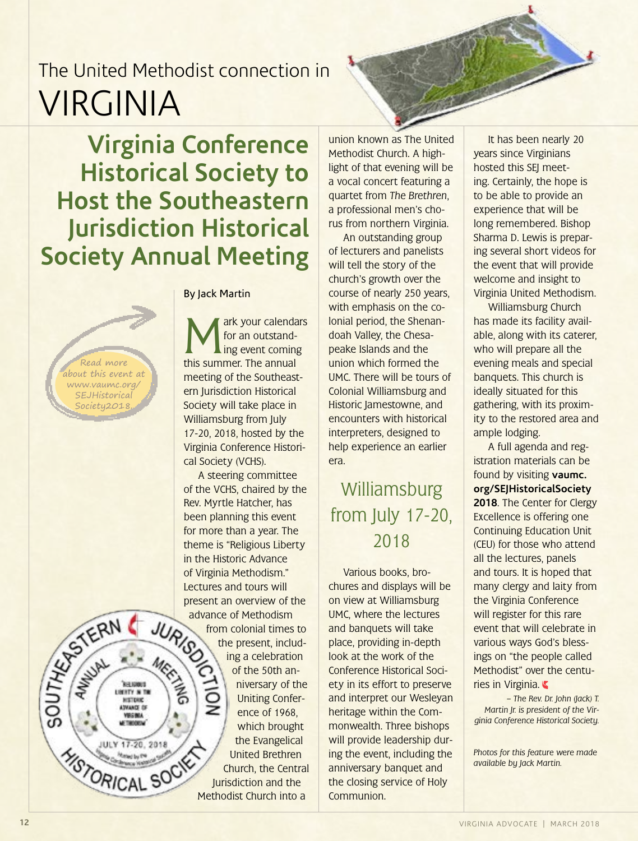**Virginia Conference Historical Society to Host the Southeastern Jurisdiction Historical Society Annual Meeting**

Read more about this event at www.vaumc.org/ **SEJHistorical** 

Society2018.

SOUTHER AWAYS TERN

**THEFT JOENTY IN THE MISTERIC** AZVANCE CF VIRGINIA

JULY 17-20, 2018

**YSTORICAL SOCK** 

By Jack Martin

Mark your calendars<br>for an outstand-<br>this summer The annual for an outstand-I ing event coming this summer. The annual meeting of the Southeastern Jurisdiction Historical Society will take place in Williamsburg from July 17-20, 2018, hosted by the Virginia Conference Historical Society (VCHS).

A steering committee of the VCHS, chaired by the Rev. Myrtle Hatcher, has been planning this event for more than a year. The theme is "Religious Liberty in the Historic Advance of Virginia Methodism." Lectures and tours will present an overview of the advance of Methodism<br>from colonial times<br>the present, included and the present of  $\overline{AB}$  celebration from colonial times to the present, includ-MEET NO ing a celebration of the 50th anniversary of the Uniting Conference of 1968, which brought the Evangelical United Brethren Church, the Central Jurisdiction and the Methodist Church into a

union known as The United Methodist Church. A highlight of that evening will be a vocal concert featuring a quartet from *The Brethren*, a professional men's chorus from northern Virginia.

An outstanding group of lecturers and panelists will tell the story of the church's growth over the course of nearly 250 years, with emphasis on the colonial period, the Shenandoah Valley, the Chesapeake Islands and the union which formed the UMC. There will be tours of Colonial Williamsburg and Historic Jamestowne, and encounters with historical interpreters, designed to help experience an earlier era.

#### Williamsburg from July 17-20, 2018

Various books, brochures and displays will be on view at Williamsburg UMC, where the lectures and banquets will take place, providing in-depth look at the work of the Conference Historical Society in its effort to preserve and interpret our Wesleyan heritage within the Commonwealth. Three bishops will provide leadership during the event, including the anniversary banquet and the closing service of Holy Communion.

It has been nearly 20 years since Virginians hosted this SEJ meeting. Certainly, the hope is to be able to provide an experience that will be long remembered. Bishop Sharma D. Lewis is preparing several short videos for the event that will provide welcome and insight to Virginia United Methodism.

Williamsburg Church has made its facility available, along with its caterer, who will prepare all the evening meals and special banquets. This church is ideally situated for this gathering, with its proximity to the restored area and ample lodging.

A full agenda and registration materials can be found by visiting **[vaumc.](http://www.vaumc.org/SEJHistoricalSociety2018) [org/SEJHistoricalSociety](http://www.vaumc.org/SEJHistoricalSociety2018)  [2018](http://www.vaumc.org/SEJHistoricalSociety2018)**. The Center for Clergy Excellence is offering one Continuing Education Unit (CEU) for those who attend all the lectures, panels and tours. It is hoped that many clergy and laity from the Virginia Conference will register for this rare event that will celebrate in various ways God's blessings on "the people called Methodist" over the centuries in Virginia.

*– The Rev. Dr. John (Jack) T. Martin Jr. is president of the Virginia Conference Historical Society.* 

*Photos for this feature were made available by Jack Martin.*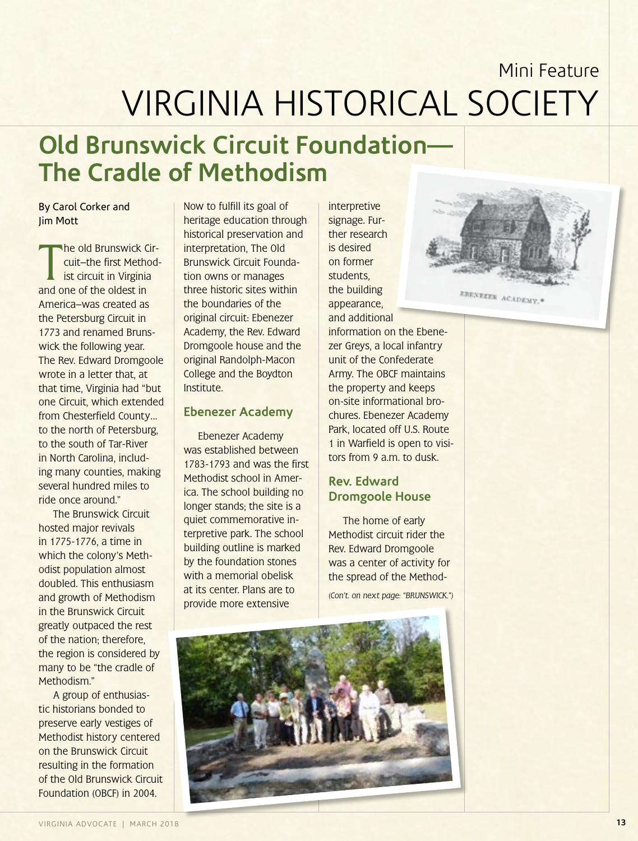### **Old Brunswick Circuit Foundation— The Cradle of Methodism**

#### By Carol Corker and Jim Mott

The old Brunswick C<br>
cuit-the first Methor<br>
ist circuit in Virginia<br>
and one of the oldest in he old Brunswick Circuit—the first Methodist circuit in Virginia America—was created as the Petersburg Circuit in 1773 and renamed Brunswick the following year. The Rev. Edward Dromgoole wrote in a letter that, at that time, Virginia had "but one Circuit, which extended from Chesterfield County… to the north of Petersburg, to the south of Tar-River in North Carolina, including many counties, making several hundred miles to ride once around."

The Brunswick Circuit hosted major revivals in 1775-1776, a time in which the colony's Methodist population almost doubled. This enthusiasm and growth of Methodism in the Brunswick Circuit greatly outpaced the rest of the nation; therefore, the region is considered by many to be "the cradle of Methodism."

A group of enthusiastic historians bonded to preserve early vestiges of Methodist history centered on the Brunswick Circuit resulting in the formation of the Old Brunswick Circuit Foundation (OBCF) in 2004.

Now to fulfill its goal of heritage education through historical preservation and interpretation, The Old Brunswick Circuit Foundation owns or manages three historic sites within the boundaries of the original circuit: Ebenezer Academy, the Rev. Edward Dromgoole house and the original Randolph-Macon College and the Boydton Institute.

#### **Ebenezer Academy**

Ebenezer Academy was established between 1783-1793 and was the first Methodist school in America. The school building no longer stands; the site is a quiet commemorative interpretive park. The school building outline is marked by the foundation stones with a memorial obelisk at its center. Plans are to provide more extensive

interpretive signage. Further research is desired on former students, the building appearance, and additional information on the Ebenezer Greys, a local infantry unit of the Confederate Army. The OBCF maintains the property and keeps on-site informational brochures. Ebenezer Academy Park, located off U.S. Route 1 in Warfield is open to visitors from 9 a.m. to dusk.

EBENEZER ACADEMY.

#### **Rev. Edward Dromgoole House**

The home of early Methodist circuit rider the Rev. Edward Dromgoole was a center of activity for the spread of the Method-

*(Con't. on next page: "BRUNSWICK.")*

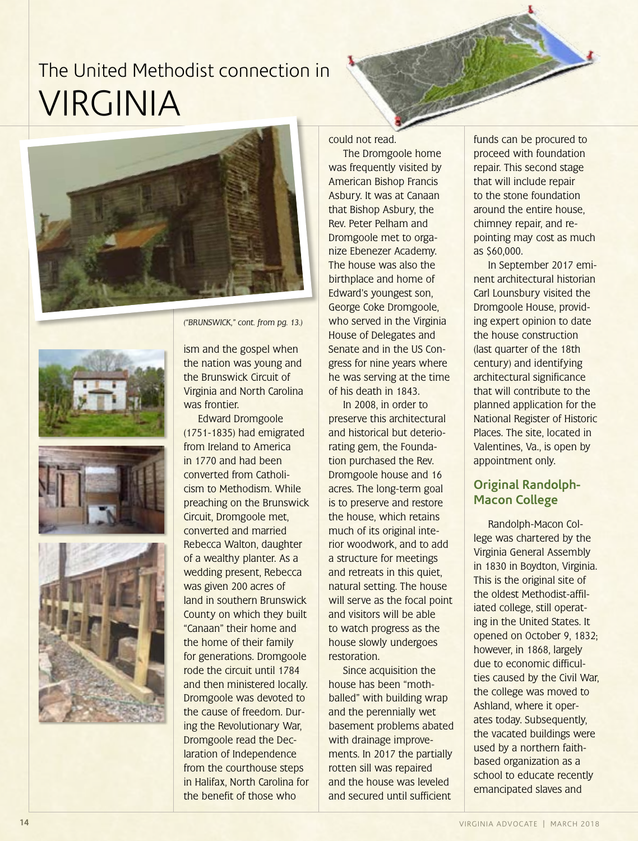







*("BRUNSWICK," cont. from pg. 13.)*

ism and the gospel when the nation was young and the Brunswick Circuit of Virginia and North Carolina was frontier.

Edward Dromgoole (1751-1835) had emigrated from Ireland to America in 1770 and had been converted from Catholicism to Methodism. While preaching on the Brunswick Circuit, Dromgoole met, converted and married Rebecca Walton, daughter of a wealthy planter. As a wedding present, Rebecca was given 200 acres of land in southern Brunswick County on which they built "Canaan" their home and the home of their family for generations. Dromgoole rode the circuit until 1784 and then ministered locally. Dromgoole was devoted to the cause of freedom. During the Revolutionary War, Dromgoole read the Declaration of Independence from the courthouse steps in Halifax, North Carolina for the benefit of those who

could not read.

The Dromgoole home was frequently visited by American Bishop Francis Asbury. It was at Canaan that Bishop Asbury, the Rev. Peter Pelham and Dromgoole met to organize Ebenezer Academy. The house was also the birthplace and home of Edward's youngest son, George Coke Dromgoole, who served in the Virginia House of Delegates and Senate and in the US Congress for nine years where he was serving at the time of his death in 1843.

In 2008, in order to preserve this architectural and historical but deteriorating gem, the Foundation purchased the Rev. Dromgoole house and 16 acres. The long-term goal is to preserve and restore the house, which retains much of its original interior woodwork, and to add a structure for meetings and retreats in this quiet, natural setting. The house will serve as the focal point and visitors will be able to watch progress as the house slowly undergoes restoration.

Since acquisition the house has been "mothballed" with building wrap and the perennially wet basement problems abated with drainage improvements. In 2017 the partially rotten sill was repaired and the house was leveled and secured until sufficient

funds can be procured to proceed with foundation repair. This second stage that will include repair to the stone foundation around the entire house, chimney repair, and repointing may cost as much as \$60,000.

In September 2017 eminent architectural historian Carl Lounsbury visited the Dromgoole House, providing expert opinion to date the house construction (last quarter of the 18th century) and identifying architectural significance that will contribute to the planned application for the National Register of Historic Places. The site, located in Valentines, Va., is open by appointment only.

#### **Original Randolph-Macon College**

Randolph-Macon College was chartered by the Virginia General Assembly in 1830 in Boydton, Virginia. This is the original site of the oldest Methodist-affiliated college, still operating in the United States. It opened on October 9, 1832; however, in 1868, largely due to economic difficulties caused by the Civil War, the college was moved to Ashland, where it operates today. Subsequently, the vacated buildings were used by a northern faithbased organization as a school to educate recently emancipated slaves and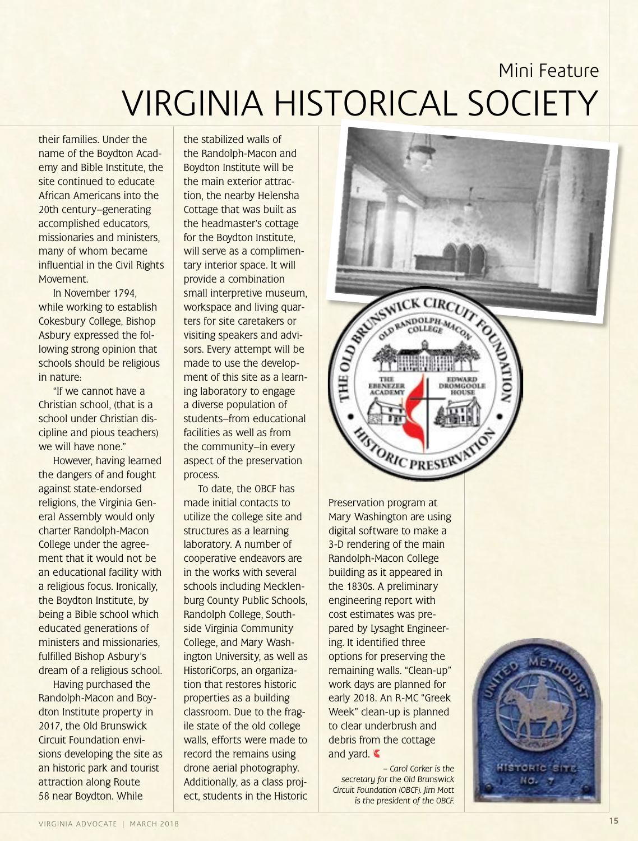their families. Under the name of the Boydton Academy and Bible Institute, the site continued to educate African Americans into the 20th century—generating accomplished educators, missionaries and ministers, many of whom became influential in the Civil Rights Movement.

In November 1794, while working to establish Cokesbury College, Bishop Asbury expressed the following strong opinion that schools should be religious in nature:

"If we cannot have a Christian school, (that is a school under Christian discipline and pious teachers) we will have none."

However, having learned the dangers of and fought against state-endorsed religions, the Virginia General Assembly would only charter Randolph-Macon College under the agreement that it would not be an educational facility with a religious focus. Ironically, the Boydton Institute, by being a Bible school which educated generations of ministers and missionaries, fulfilled Bishop Asbury's dream of a religious school.

Having purchased the Randolph-Macon and Boydton Institute property in 2017, the Old Brunswick Circuit Foundation envisions developing the site as an historic park and tourist attraction along Route 58 near Boydton. While

the stabilized walls of the Randolph-Macon and Boydton Institute will be the main exterior attraction, the nearby Helensha Cottage that was built as the headmaster's cottage for the Boydton Institute, will serve as a complimentary interior space. It will provide a combination small interpretive museum, workspace and living quarters for site caretakers or visiting speakers and advisors. Every attempt will be made to use the development of this site as a learning laboratory to engage a diverse population of students—from educational facilities as well as from the community—in every aspect of the preservation process.

To date, the OBCF has made initial contacts to utilize the college site and structures as a learning laboratory. A number of cooperative endeavors are in the works with several schools including Mecklenburg County Public Schools, Randolph College, Southside Virginia Community College, and Mary Washington University, as well as HistoriCorps, an organization that restores historic properties as a building classroom. Due to the fragile state of the old college walls, efforts were made to record the remains using drone aerial photography. Additionally, as a class project, students in the Historic



Preservation program at Mary Washington are using digital software to make a 3-D rendering of the main Randolph-Macon College building as it appeared in the 1830s. A preliminary engineering report with cost estimates was prepared by Lysaght Engineering. It identified three options for preserving the remaining walls. "Clean-up" work days are planned for early 2018. An R-MC "Greek Week" clean-up is planned to clear underbrush and debris from the cottage and yard.

*– Carol Corker is the secretary for the Old Brunswick Circuit Foundation (OBCF). Jim Mott is the president of the OBCF.*

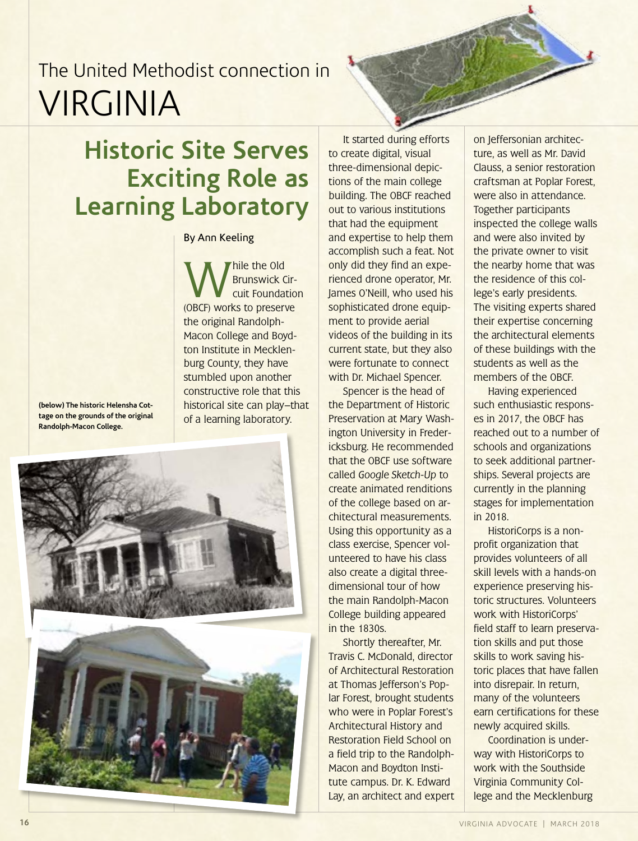### **Historic Site Serves Exciting Role as Learning Laboratory**

#### By Ann Keeling

While the Old<br>
Brunswick Circuit Foundatio<br>
(OBCF) works to preserve Brunswick Circuit Foundation the original Randolph-Macon College and Boydton Institute in Mecklenburg County, they have stumbled upon another constructive role that this historical site can play—that of a learning laboratory.

**(below) The historic Helensha Cottage on the grounds of the original Randolph-Macon College.**





It started during efforts to create digital, visual three-dimensional depictions of the main college building. The OBCF reached out to various institutions that had the equipment and expertise to help them accomplish such a feat. Not only did they find an experienced drone operator, Mr. James O'Neill, who used his sophisticated drone equipment to provide aerial videos of the building in its current state, but they also were fortunate to connect with Dr. Michael Spencer.

Spencer is the head of the Department of Historic Preservation at Mary Washington University in Fredericksburg. He recommended that the OBCF use software called *Google Sketch-Up* to create animated renditions of the college based on architectural measurements. Using this opportunity as a class exercise, Spencer volunteered to have his class also create a digital threedimensional tour of how the main Randolph-Macon College building appeared in the 1830s.

Shortly thereafter, Mr. Travis C. McDonald, director of Architectural Restoration at Thomas Jefferson's Poplar Forest, brought students who were in Poplar Forest's Architectural History and Restoration Field School on a field trip to the Randolph-Macon and Boydton Institute campus. Dr. K. Edward Lay, an architect and expert

on Jeffersonian architecture, as well as Mr. David Clauss, a senior restoration craftsman at Poplar Forest, were also in attendance. Together participants inspected the college walls and were also invited by the private owner to visit the nearby home that was the residence of this college's early presidents. The visiting experts shared their expertise concerning the architectural elements of these buildings with the students as well as the members of the OBCF.

Having experienced such enthusiastic responses in 2017, the OBCF has reached out to a number of schools and organizations to seek additional partnerships. Several projects are currently in the planning stages for implementation in 2018.

HistoriCorps is a nonprofit organization that provides volunteers of all skill levels with a hands-on experience preserving historic structures. Volunteers work with HistoriCorps' field staff to learn preservation skills and put those skills to work saving historic places that have fallen into disrepair. In return, many of the volunteers earn certifications for these newly acquired skills.

Coordination is underway with HistoriCorps to work with the Southside Virginia Community College and the Mecklenburg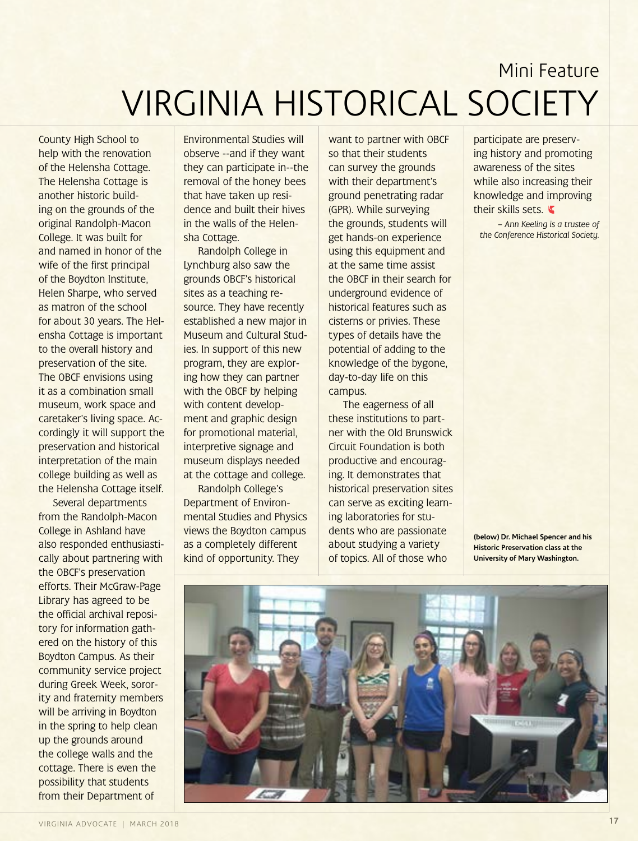County High School to help with the renovation of the Helensha Cottage. The Helensha Cottage is another historic building on the grounds of the original Randolph-Macon College. It was built for and named in honor of the wife of the first principal of the Boydton Institute, Helen Sharpe, who served as matron of the school for about 30 years. The Helensha Cottage is important to the overall history and preservation of the site. The OBCF envisions using it as a combination small museum, work space and caretaker's living space. Accordingly it will support the preservation and historical interpretation of the main college building as well as the Helensha Cottage itself.

Several departments from the Randolph-Macon College in Ashland have also responded enthusiastically about partnering with the OBCF's preservation efforts. Their McGraw-Page Library has agreed to be the official archival repository for information gathered on the history of this Boydton Campus. As their community service project during Greek Week, sorority and fraternity members will be arriving in Boydton in the spring to help clean up the grounds around the college walls and the cottage. There is even the possibility that students from their Department of

Environmental Studies will observe --and if they want they can participate in--the removal of the honey bees that have taken up residence and built their hives in the walls of the Helensha Cottage.

Randolph College in Lynchburg also saw the grounds OBCF's historical sites as a teaching resource. They have recently established a new major in Museum and Cultural Studies. In support of this new program, they are exploring how they can partner with the OBCF by helping with content development and graphic design for promotional material, interpretive signage and museum displays needed at the cottage and college.

Randolph College's Department of Environmental Studies and Physics views the Boydton campus as a completely different kind of opportunity. They

want to partner with OBCF so that their students can survey the grounds with their department's ground penetrating radar (GPR). While surveying the grounds, students will get hands-on experience using this equipment and at the same time assist the OBCF in their search for underground evidence of historical features such as cisterns or privies. These types of details have the potential of adding to the knowledge of the bygone, day-to-day life on this campus.

The eagerness of all these institutions to partner with the Old Brunswick Circuit Foundation is both productive and encouraging. It demonstrates that historical preservation sites can serve as exciting learning laboratories for students who are passionate about studying a variety of topics. All of those who

participate are preserving history and promoting awareness of the sites while also increasing their knowledge and improving their skills sets.

*– Ann Keeling is a trustee of the Conference Historical Society.*

**(below) Dr. Michael Spencer and his Historic Preservation class at the University of Mary Washington.**

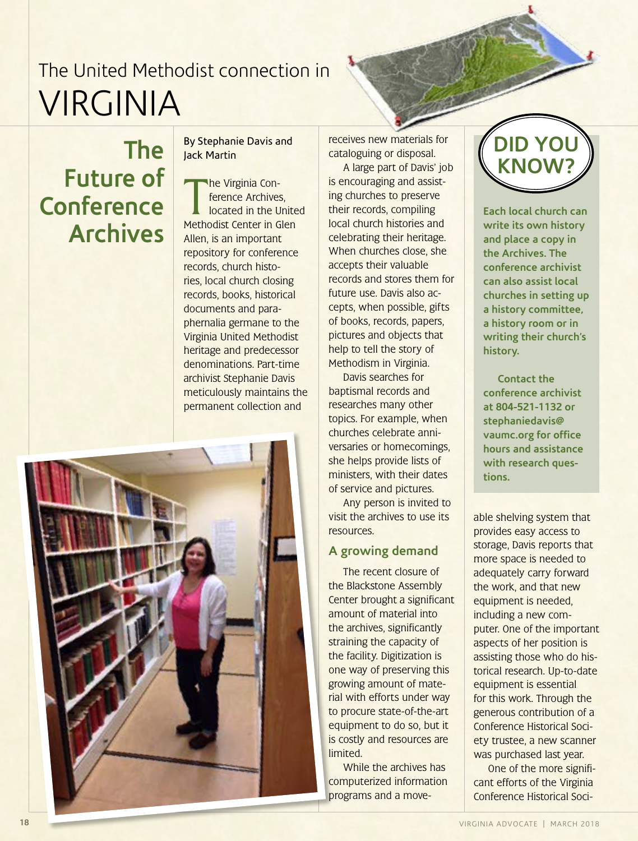#### **The Future of Conference Archives**

By Stephanie Davis and Jack Martin

The Virginia Conference Archives,<br>Iocated in the Unite<br>Methodist Center in Glen he Virginia Conference Archives, located in the United Allen, is an important repository for conference records, church histories, local church closing records, books, historical documents and paraphernalia germane to the Virginia United Methodist heritage and predecessor denominations. Part-time archivist Stephanie Davis meticulously maintains the permanent collection and



receives new materials for cataloguing or disposal.

A large part of Davis' job is encouraging and assisting churches to preserve their records, compiling local church histories and celebrating their heritage. When churches close, she accepts their valuable records and stores them for future use. Davis also accepts, when possible, gifts of books, records, papers, pictures and objects that help to tell the story of Methodism in Virginia.

Davis searches for baptismal records and researches many other topics. For example, when churches celebrate anniversaries or homecomings, she helps provide lists of ministers, with their dates of service and pictures.

Any person is invited to visit the archives to use its **resources** 

#### **A growing demand**

The recent closure of the Blackstone Assembly Center brought a significant amount of material into the archives, significantly straining the capacity of the facility. Digitization is one way of preserving this growing amount of material with efforts under way to procure state-of-the-art equipment to do so, but it is costly and resources are limited.

While the archives has computerized information programs and a move-



**Each local church can write its own history and place a copy in the Archives. The conference archivist can also assist local churches in setting up a history committee, a history room or in writing their church's history.**

**Contact the conference archivist at 804-521-1132 or stephaniedavis@ vaumc.org for office hours and assistance with research questions.**

able shelving system that provides easy access to storage, Davis reports that more space is needed to adequately carry forward the work, and that new equipment is needed, including a new computer. One of the important aspects of her position is assisting those who do historical research. Up-to-date equipment is essential for this work. Through the generous contribution of a Conference Historical Society trustee, a new scanner was purchased last year.

One of the more significant efforts of the Virginia Conference Historical Soci-